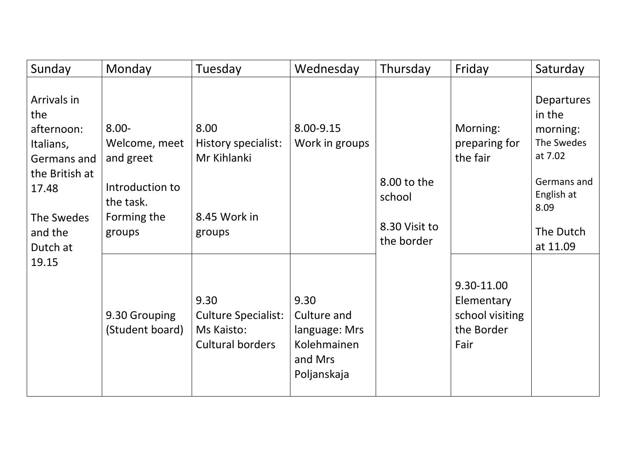| Sunday                                                                                                                                | Monday                                                                                          | Tuesday                                                              | Wednesday                                                                     | Thursday                                             | Friday                                                            | Saturday                                                                                                                |
|---------------------------------------------------------------------------------------------------------------------------------------|-------------------------------------------------------------------------------------------------|----------------------------------------------------------------------|-------------------------------------------------------------------------------|------------------------------------------------------|-------------------------------------------------------------------|-------------------------------------------------------------------------------------------------------------------------|
| Arrivals in<br>the<br>afternoon:<br>Italians,<br>Germans and<br>the British at<br>17.48<br>The Swedes<br>and the<br>Dutch at<br>19.15 | $8.00 -$<br>Welcome, meet<br>and greet<br>Introduction to<br>the task.<br>Forming the<br>groups | 8.00<br>History specialist:<br>Mr Kihlanki<br>8.45 Work in<br>groups | 8.00-9.15<br>Work in groups                                                   | 8.00 to the<br>school<br>8.30 Visit to<br>the border | Morning:<br>preparing for<br>the fair                             | Departures<br>in the<br>morning:<br>The Swedes<br>at 7.02<br>Germans and<br>English at<br>8.09<br>The Dutch<br>at 11.09 |
|                                                                                                                                       | 9.30 Grouping<br>(Student board)                                                                | 9.30<br><b>Culture Specialist:</b><br>Ms Kaisto:<br>Cultural borders | 9.30<br>Culture and<br>language: Mrs<br>Kolehmainen<br>and Mrs<br>Poljanskaja |                                                      | 9.30-11.00<br>Elementary<br>school visiting<br>the Border<br>Fair |                                                                                                                         |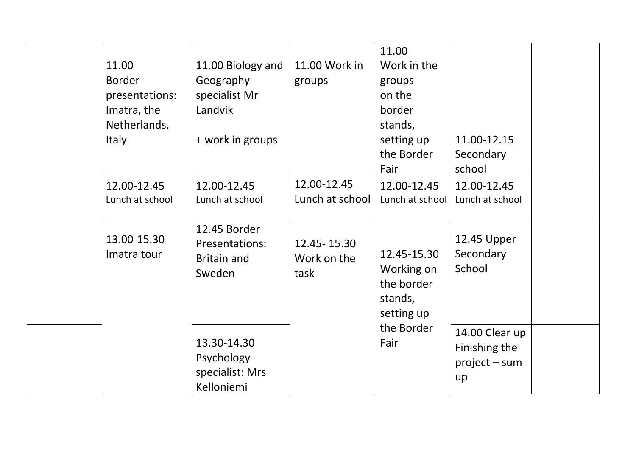| 11.00<br><b>Border</b><br>presentations:<br>Imatra, the<br>Netherlands,<br><b>Italy</b> | 11.00 Biology and<br>Geography<br>specialist Mr<br>Landvik<br>+ work in groups | 11.00 Work in<br>groups              | 11.00<br>Work in the<br>groups<br>on the<br>border<br>stands,<br>setting up<br>the Border<br>Fair | 11.00-12.15<br>Secondary<br>school                       |
|-----------------------------------------------------------------------------------------|--------------------------------------------------------------------------------|--------------------------------------|---------------------------------------------------------------------------------------------------|----------------------------------------------------------|
| 12.00-12.45<br>Lunch at school                                                          | 12.00-12.45<br>Lunch at school                                                 | 12.00-12.45<br>Lunch at school       | 12.00-12.45<br>Lunch at school                                                                    | 12.00-12.45<br>Lunch at school                           |
| 13.00-15.30<br>Imatra tour                                                              | 12.45 Border<br><b>Presentations:</b><br><b>Britain and</b><br>Sweden          | 12.45 - 15.30<br>Work on the<br>task | 12.45-15.30<br>Working on<br>the border<br>stands,<br>setting up                                  | 12.45 Upper<br>Secondary<br>School                       |
|                                                                                         | 13.30-14.30<br>Psychology<br>specialist: Mrs<br>Kelloniemi                     |                                      | the Border<br>Fair                                                                                | 14.00 Clear up<br>Finishing the<br>$project - sum$<br>up |